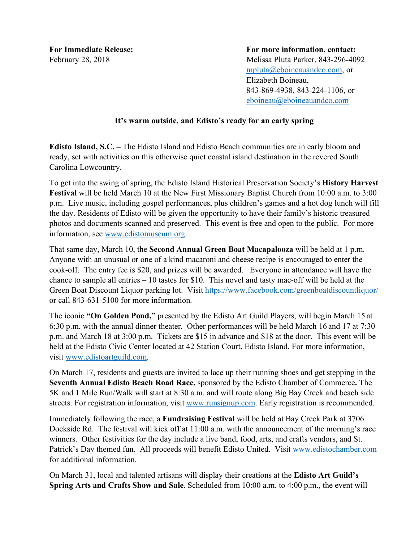For Immediate Release: **For more information, contact:** February 28, 2018 Melissa Pluta Parker, 843-296-4092 mpluta@eboineauandco.com, or Elizabeth Boineau, 843-869-4938, 843-224-1106, or eboineau@eboineauandco.com

## **It's warm outside, and Edisto's ready for an early spring**

**Edisto Island, S.C. –** The Edisto Island and Edisto Beach communities are in early bloom and ready, set with activities on this otherwise quiet coastal island destination in the revered South Carolina Lowcountry.

To get into the swing of spring, the Edisto Island Historical Preservation Society's **History Harvest Festival** will be held March 10 at the New First Missionary Baptist Church from 10:00 a.m. to 3:00 p.m. Live music, including gospel performances, plus children's games and a hot dog lunch will fill the day. Residents of Edisto will be given the opportunity to have their family's historic treasured photos and documents scanned and preserved. This event is free and open to the public. For more information, see www.edistomuseum.org.

That same day, March 10, the **Second Annual Green Boat Macapalooza** will be held at 1 p.m. Anyone with an unusual or one of a kind macaroni and cheese recipe is encouraged to enter the cook-off. The entry fee is \$20, and prizes will be awarded. Everyone in attendance will have the chance to sample all entries – 10 tastes for \$10. This novel and tasty mac-off will be held at the Green Boat Discount Liquor parking lot. Visit https://www.facebook.com/greenboatdiscountliquor/ or call 843-631-5100 for more information.

The iconic **"On Golden Pond,"** presented by the Edisto Art Guild Players, will begin March 15 at 6:30 p.m. with the annual dinner theater. Other performances will be held March 16 and 17 at 7:30 p.m. and March 18 at 3:00 p.m. Tickets are \$15 in advance and \$18 at the door. This event will be held at the Edisto Civic Center located at 42 Station Court, Edisto Island. For more information, visit www.edistoartguild.com.

On March 17, residents and guests are invited to lace up their running shoes and get stepping in the **Seventh Annual Edisto Beach Road Race,** sponsored by the Edisto Chamber of Commerce**.** The 5K and 1 Mile Run/Walk will start at 8:30 a.m. and will route along Big Bay Creek and beach side streets. For registration information, visit www.runsignup.com. Early registration is recommended.

Immediately following the race, a **Fundraising Festival** will be held at Bay Creek Park at 3706 Dockside Rd. The festival will kick off at 11:00 a.m. with the announcement of the morning's race winners. Other festivities for the day include a live band, food, arts, and crafts vendors, and St. Patrick's Day themed fun. All proceeds will benefit Edisto United. Visit www.edistochamber.com for additional information.

On March 31, local and talented artisans will display their creations at the **Edisto Art Guild's Spring Arts and Crafts Show and Sale**. Scheduled from 10:00 a.m. to 4:00 p.m., the event will